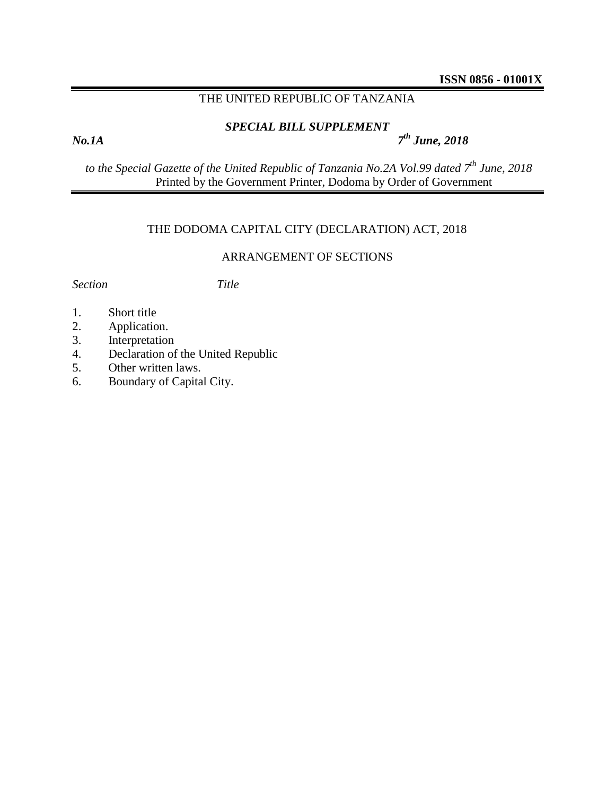### THE UNITED REPUBLIC OF TANZANIA

# *SPECIAL BILL SUPPLEMENT*

*No.1A 7*

*th June, 2018*

*to the Special Gazette of the United Republic of Tanzania No.2A Vol.99 dated 7 th June, 2018* Printed by the Government Printer, Dodoma by Order of Government

## THE DODOMA CAPITAL CITY (DECLARATION) ACT, 2018

### ARRANGEMENT OF SECTIONS

*Section Title*

- 1. Short title
- 2. Application.
- 3. Interpretation
- 4. Declaration of the United Republic
- 5. Other written laws.
- 6. Boundary of Capital City.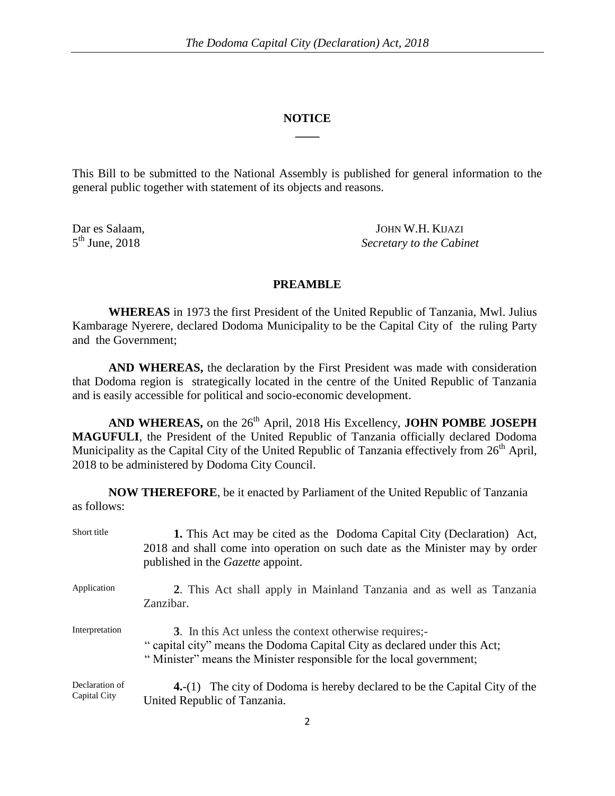#### **NOTICE \_\_\_\_**

This Bill to be submitted to the National Assembly is published for general information to the general public together with statement of its objects and reasons.

 $5^{\text{th}}$  June, 2018

Dar es Salaam, JOHN W.H. KIJAZI **Secretary to the Cabinet** 

#### **PREAMBLE**

**WHEREAS** in 1973 the first President of the United Republic of Tanzania, Mwl. Julius Kambarage Nyerere, declared Dodoma Municipality to be the Capital City of the ruling Party and the Government;

**AND WHEREAS,** the declaration by the First President was made with consideration that Dodoma region is strategically located in the centre of the United Republic of Tanzania and is easily accessible for political and socio-economic development.

AND WHEREAS, on the 26<sup>th</sup> April, 2018 His Excellency, **JOHN POMBE JOSEPH MAGUFULI**, the President of the United Republic of Tanzania officially declared Dodoma Municipality as the Capital City of the United Republic of Tanzania effectively from 26<sup>th</sup> April, 2018 to be administered by Dodoma City Council.

**NOW THEREFORE**, be it enacted by Parliament of the United Republic of Tanzania as follows:

| Short title                    | 1. This Act may be cited as the Dodoma Capital City (Declaration) Act,<br>2018 and shall come into operation on such date as the Minister may by order<br>published in the <i>Gazette</i> appoint.         |
|--------------------------------|------------------------------------------------------------------------------------------------------------------------------------------------------------------------------------------------------------|
| Application                    | 2. This Act shall apply in Mainland Tanzania and as well as Tanzania<br>Zanzibar.                                                                                                                          |
| Interpretation                 | 3. In this Act unless the context otherwise requires;-<br>" capital city" means the Dodoma Capital City as declared under this Act;<br>"Minister" means the Minister responsible for the local government; |
| Declaration of<br>Capital City | <b>4.</b> -(1) The city of Dodoma is hereby declared to be the Capital City of the<br>United Republic of Tanzania.                                                                                         |